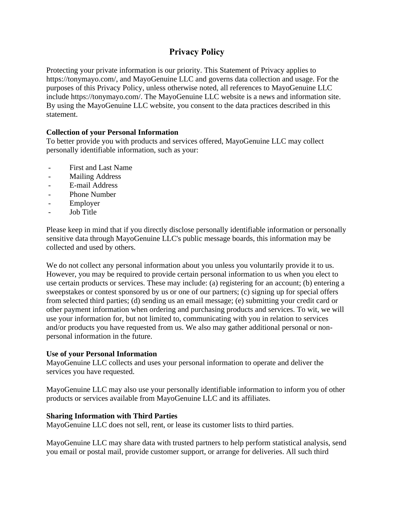# **Privacy Policy**

Protecting your private information is our priority. This Statement of Privacy applies to https://tonymayo.com/, and MayoGenuine LLC and governs data collection and usage. For the purposes of this Privacy Policy, unless otherwise noted, all references to MayoGenuine LLC include https://tonymayo.com/. The MayoGenuine LLC website is a news and information site. By using the MayoGenuine LLC website, you consent to the data practices described in this statement.

## **Collection of your Personal Information**

To better provide you with products and services offered, MayoGenuine LLC may collect personally identifiable information, such as your:

- First and Last Name
- Mailing Address
- E-mail Address
- Phone Number
- **Employer**
- Job Title

Please keep in mind that if you directly disclose personally identifiable information or personally sensitive data through MayoGenuine LLC's public message boards, this information may be collected and used by others.

We do not collect any personal information about you unless you voluntarily provide it to us. However, you may be required to provide certain personal information to us when you elect to use certain products or services. These may include: (a) registering for an account; (b) entering a sweepstakes or contest sponsored by us or one of our partners; (c) signing up for special offers from selected third parties; (d) sending us an email message; (e) submitting your credit card or other payment information when ordering and purchasing products and services. To wit, we will use your information for, but not limited to, communicating with you in relation to services and/or products you have requested from us. We also may gather additional personal or nonpersonal information in the future.

## **Use of your Personal Information**

MayoGenuine LLC collects and uses your personal information to operate and deliver the services you have requested.

MayoGenuine LLC may also use your personally identifiable information to inform you of other products or services available from MayoGenuine LLC and its affiliates.

## **Sharing Information with Third Parties**

MayoGenuine LLC does not sell, rent, or lease its customer lists to third parties.

MayoGenuine LLC may share data with trusted partners to help perform statistical analysis, send you email or postal mail, provide customer support, or arrange for deliveries. All such third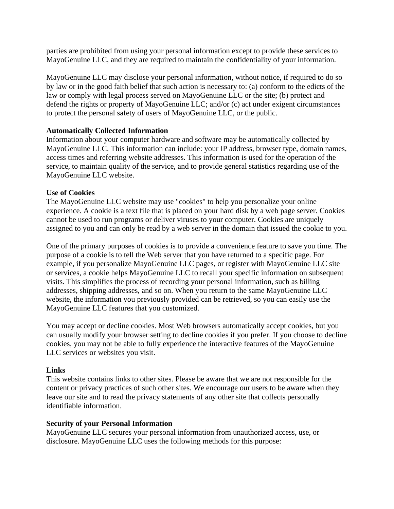parties are prohibited from using your personal information except to provide these services to MayoGenuine LLC, and they are required to maintain the confidentiality of your information.

MayoGenuine LLC may disclose your personal information, without notice, if required to do so by law or in the good faith belief that such action is necessary to: (a) conform to the edicts of the law or comply with legal process served on MayoGenuine LLC or the site; (b) protect and defend the rights or property of MayoGenuine LLC; and/or (c) act under exigent circumstances to protect the personal safety of users of MayoGenuine LLC, or the public.

## **Automatically Collected Information**

Information about your computer hardware and software may be automatically collected by MayoGenuine LLC. This information can include: your IP address, browser type, domain names, access times and referring website addresses. This information is used for the operation of the service, to maintain quality of the service, and to provide general statistics regarding use of the MayoGenuine LLC website.

### **Use of Cookies**

The MayoGenuine LLC website may use "cookies" to help you personalize your online experience. A cookie is a text file that is placed on your hard disk by a web page server. Cookies cannot be used to run programs or deliver viruses to your computer. Cookies are uniquely assigned to you and can only be read by a web server in the domain that issued the cookie to you.

One of the primary purposes of cookies is to provide a convenience feature to save you time. The purpose of a cookie is to tell the Web server that you have returned to a specific page. For example, if you personalize MayoGenuine LLC pages, or register with MayoGenuine LLC site or services, a cookie helps MayoGenuine LLC to recall your specific information on subsequent visits. This simplifies the process of recording your personal information, such as billing addresses, shipping addresses, and so on. When you return to the same MayoGenuine LLC website, the information you previously provided can be retrieved, so you can easily use the MayoGenuine LLC features that you customized.

You may accept or decline cookies. Most Web browsers automatically accept cookies, but you can usually modify your browser setting to decline cookies if you prefer. If you choose to decline cookies, you may not be able to fully experience the interactive features of the MayoGenuine LLC services or websites you visit.

### **Links**

This website contains links to other sites. Please be aware that we are not responsible for the content or privacy practices of such other sites. We encourage our users to be aware when they leave our site and to read the privacy statements of any other site that collects personally identifiable information.

### **Security of your Personal Information**

MayoGenuine LLC secures your personal information from unauthorized access, use, or disclosure. MayoGenuine LLC uses the following methods for this purpose: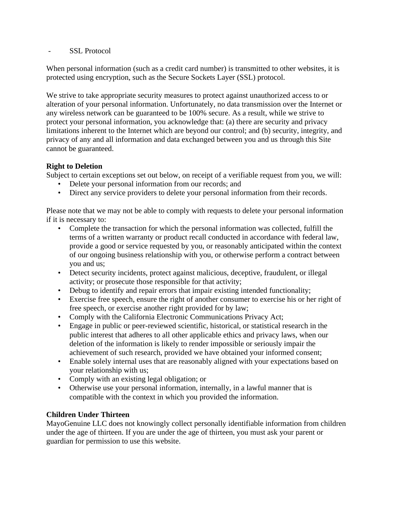- SSL Protocol

When personal information (such as a credit card number) is transmitted to other websites, it is protected using encryption, such as the Secure Sockets Layer (SSL) protocol.

We strive to take appropriate security measures to protect against unauthorized access to or alteration of your personal information. Unfortunately, no data transmission over the Internet or any wireless network can be guaranteed to be 100% secure. As a result, while we strive to protect your personal information, you acknowledge that: (a) there are security and privacy limitations inherent to the Internet which are beyond our control; and (b) security, integrity, and privacy of any and all information and data exchanged between you and us through this Site cannot be guaranteed.

# **Right to Deletion**

Subject to certain exceptions set out below, on receipt of a verifiable request from you, we will:

- Delete your personal information from our records; and
- Direct any service providers to delete your personal information from their records.

Please note that we may not be able to comply with requests to delete your personal information if it is necessary to:

- Complete the transaction for which the personal information was collected, fulfill the terms of a written warranty or product recall conducted in accordance with federal law, provide a good or service requested by you, or reasonably anticipated within the context of our ongoing business relationship with you, or otherwise perform a contract between you and us;
- Detect security incidents, protect against malicious, deceptive, fraudulent, or illegal activity; or prosecute those responsible for that activity;
- Debug to identify and repair errors that impair existing intended functionality;
- Exercise free speech, ensure the right of another consumer to exercise his or her right of free speech, or exercise another right provided for by law;
- Comply with the California Electronic Communications Privacy Act;
- Engage in public or peer-reviewed scientific, historical, or statistical research in the public interest that adheres to all other applicable ethics and privacy laws, when our deletion of the information is likely to render impossible or seriously impair the achievement of such research, provided we have obtained your informed consent;
- Enable solely internal uses that are reasonably aligned with your expectations based on your relationship with us;
- Comply with an existing legal obligation; or
- Otherwise use your personal information, internally, in a lawful manner that is compatible with the context in which you provided the information.

## **Children Under Thirteen**

MayoGenuine LLC does not knowingly collect personally identifiable information from children under the age of thirteen. If you are under the age of thirteen, you must ask your parent or guardian for permission to use this website.